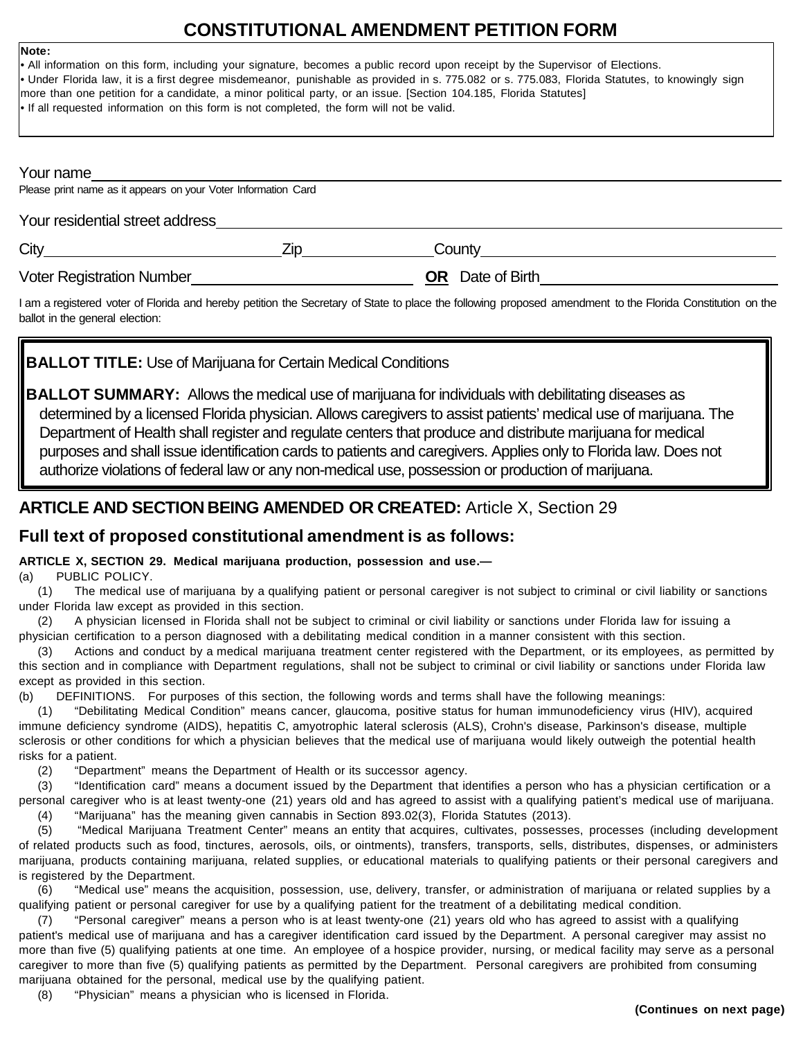## **CONSTITUTIONAL AMENDMENT PETITION FORM**

# • All information on this form, including your signature, becomes a public record upon receipt by the Supervisor of Elections. • Under Florida law, it is a first degree misdemeanor, punishable as provided in s. 775.082 or s. 775.083, Florida Statutes, to knowingly sign more than one petition for a candidate, a minor political party, or an issue. [Section 104.185, Florida Statutes] • If all requested information on this form is not completed, the form will not be valid. Your name Please print name as it appears on your Voter Information Card Your residential street address City Zip County Voter Registration Number **OR** Date of Birth

I am a registered voter of Florida and hereby petition the Secretary of State to place the following proposed amendment to the Florida Constitution on the ballot in the general election:

## **BALLOT TITLE:** Use of Marijuana for Certain Medical Conditions

**BALLOT SUMMARY:** Allows the medical use of marijuana for individuals with debilitating diseases as determined by a licensed Florida physician. Allows caregivers to assist patients' medical use of marijuana. The Department of Health shall register and regulate centers that produce and distribute marijuana for medical purposes and shall issue identification cards to patients and caregivers. Applies only to Florida law. Does not authorize violations of federal law or any non-medical use, possession or production of marijuana.

## **ARTICLE AND SECTION BEING AMENDED OR CREATED:** Article X, Section 29

## **Full text of proposed constitutional amendment is as follows:**

### **ARTICLE X, SECTION 29. Medical marijuana production, possession and use.—**

(a) PUBLIC POLICY.

**Note:**

(1) The medical use of marijuana by a qualifying patient or personal caregiver is not subject to criminal or civil liability or sanctions under Florida law except as provided in this section.

(2) A physician licensed in Florida shall not be subject to criminal or civil liability or sanctions under Florida law for issuing a physician certification to a person diagnosed with a debilitating medical condition in a manner consistent with this section.

(3) Actions and conduct by a medical marijuana treatment center registered with the Department, or its employees, as permitted by this section and in compliance with Department regulations, shall not be subject to criminal or civil liability or sanctions under Florida law except as provided in this section.

(b) DEFINITIONS. For purposes of this section, the following words and terms shall have the following meanings:

(1) "Debilitating Medical Condition" means cancer, glaucoma, positive status for human immunodeficiency virus (HIV), acquired immune deficiency syndrome (AIDS), hepatitis C, amyotrophic lateral sclerosis (ALS), Crohn's disease, Parkinson's disease, multiple sclerosis or other conditions for which a physician believes that the medical use of marijuana would likely outweigh the potential health risks for a patient.

(2) "Department" means the Department of Health or its successor agency.

(3) "Identification card" means a document issued by the Department that identifies a person who has a physician certification or a personal caregiver who is at least twenty-one (21) years old and has agreed to assist with a qualifying patient's medical use of marijuana. (4) "Marijuana" has the meaning given cannabis in Section 893.02(3), Florida Statutes (2013).

(5) "Medical Marijuana Treatment Center" means an entity that acquires, cultivates, possesses, processes (including development of related products such as food, tinctures, aerosols, oils, or ointments), transfers, transports, sells, distributes, dispenses, or administers marijuana, products containing marijuana, related supplies, or educational materials to qualifying patients or their personal caregivers and is registered by the Department.

(6) "Medical use" means the acquisition, possession, use, delivery, transfer, or administration of marijuana or related supplies by a qualifying patient or personal caregiver for use by a qualifying patient for the treatment of a debilitating medical condition.

(7) "Personal caregiver" means a person who is at least twenty-one (21) years old who has agreed to assist with a qualifying patient's medical use of marijuana and has a caregiver identification card issued by the Department. A personal caregiver may assist no more than five (5) qualifying patients at one time. An employee of a hospice provider, nursing, or medical facility may serve as a personal caregiver to more than five (5) qualifying patients as permitted by the Department. Personal caregivers are prohibited from consuming marijuana obtained for the personal, medical use by the qualifying patient.

(8) "Physician" means a physician who is licensed in Florida.